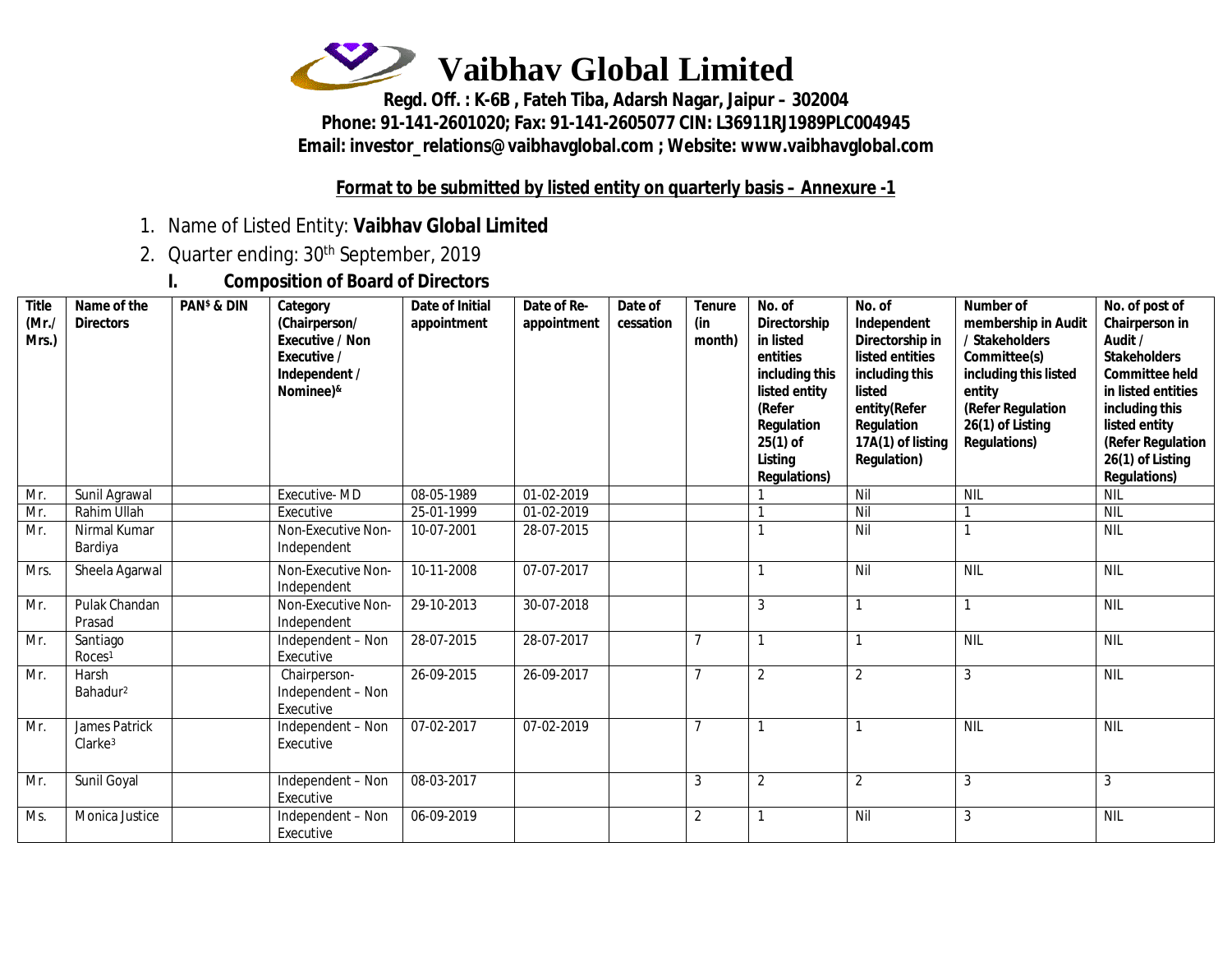

**Regd. Off. : K-6B , Fateh Tiba, Adarsh Nagar, Jaipur – 302004 Phone: 91-141-2601020; Fax: 91-141-2605077 CIN: L36911RJ1989PLC004945 Email: [investor\\_relations@vaibhavglobal.com](mailto:investor_relations@vaibhavglobal.com) ; Website: [www.vaibhavglobal.com](http://www.vaibhavglobal.com)**

#### **Format to be submitted by listed entity on quarterly basis – Annexure -1**

- 1. Name of Listed Entity: **Vaibhav Global Limited**
- 2. Quarter ending: 30th September, 2019
	- **I. Composition of Board of Directors**

| <b>Title</b><br>(Mr.<br>Mrs.) | Name of the<br><b>Directors</b>             | <b>PAN<sup>\$</sup> &amp; DIN</b> | Category<br>(Chairperson/<br><b>Executive / Non</b><br>Executive /<br>Independent /<br>Nominee)& | <b>Date of Initial</b><br>appointment | Date of Re-<br>appointment | Date of<br>cessation | <b>Tenure</b><br>(in<br>month) | No. of<br>Directorship<br>in listed<br>entities<br>including this<br>listed entity<br>(Refer<br>Regulation<br>$25(1)$ of<br>Listing<br><b>Regulations)</b> | No. of<br>Independent<br>Directorship in<br>listed entities<br>including this<br>listed<br>entity(Refer<br>Regulation<br>17A(1) of listing<br><b>Regulation)</b> | <b>Number of</b><br>membership in Audit<br>/ Stakeholders<br>Committee(s)<br>including this listed<br>entity<br>(Refer Regulation<br>26(1) of Listing<br><b>Regulations)</b> | No. of post of<br>Chairperson in<br>Audit /<br><b>Stakeholders</b><br><b>Committee held</b><br>in listed entities<br>including this<br>listed entity<br>(Refer Regulation<br>26(1) of Listing<br><b>Regulations)</b> |
|-------------------------------|---------------------------------------------|-----------------------------------|--------------------------------------------------------------------------------------------------|---------------------------------------|----------------------------|----------------------|--------------------------------|------------------------------------------------------------------------------------------------------------------------------------------------------------|------------------------------------------------------------------------------------------------------------------------------------------------------------------|------------------------------------------------------------------------------------------------------------------------------------------------------------------------------|----------------------------------------------------------------------------------------------------------------------------------------------------------------------------------------------------------------------|
| Mr.                           | Sunil Agrawal                               |                                   | Executive-MD                                                                                     | 08-05-1989                            | 01-02-2019                 |                      |                                |                                                                                                                                                            | Nil                                                                                                                                                              | <b>NIL</b>                                                                                                                                                                   | <b>NIL</b>                                                                                                                                                                                                           |
| Mr.                           | Rahim Ullah                                 |                                   | Executive                                                                                        | 25-01-1999                            | 01-02-2019                 |                      |                                |                                                                                                                                                            | Nil                                                                                                                                                              |                                                                                                                                                                              | NIL                                                                                                                                                                                                                  |
| Mr.                           | Nirmal Kumar<br>Bardiya                     |                                   | Non-Executive Non-<br>Independent                                                                | 10-07-2001                            | 28-07-2015                 |                      |                                |                                                                                                                                                            | Nil                                                                                                                                                              |                                                                                                                                                                              | <b>NIL</b>                                                                                                                                                                                                           |
| Mrs.                          | Sheela Agarwal                              |                                   | Non-Executive Non-<br>Independent                                                                | 10-11-2008                            | 07-07-2017                 |                      |                                |                                                                                                                                                            | Nil                                                                                                                                                              | <b>NIL</b>                                                                                                                                                                   | <b>NIL</b>                                                                                                                                                                                                           |
| Mr.                           | Pulak Chandan<br>Prasad                     |                                   | Non-Executive Non-<br>Independent                                                                | 29-10-2013                            | 30-07-2018                 |                      |                                | 3                                                                                                                                                          |                                                                                                                                                                  |                                                                                                                                                                              | <b>NIL</b>                                                                                                                                                                                                           |
| Mr.                           | Santiago<br>Roces <sup>1</sup>              |                                   | Independent - Non<br>Executive                                                                   | 28-07-2015                            | 28-07-2017                 |                      | $\overline{7}$                 |                                                                                                                                                            |                                                                                                                                                                  | <b>NIL</b>                                                                                                                                                                   | NIL                                                                                                                                                                                                                  |
| Mr.                           | Harsh<br>Bahadur <sup>2</sup>               |                                   | Chairperson-<br>Independent - Non<br>Executive                                                   | 26-09-2015                            | 26-09-2017                 |                      | $\mathcal{I}$                  | $\overline{2}$                                                                                                                                             | $\overline{2}$                                                                                                                                                   | 3                                                                                                                                                                            | NIL                                                                                                                                                                                                                  |
| Mr.                           | <b>James Patrick</b><br>Clarke <sup>3</sup> |                                   | Independent - Non<br>Executive                                                                   | 07-02-2017                            | 07-02-2019                 |                      | $\mathcal{I}$                  |                                                                                                                                                            |                                                                                                                                                                  | <b>NIL</b>                                                                                                                                                                   | <b>NIL</b>                                                                                                                                                                                                           |
| Mr.                           | Sunil Goyal                                 |                                   | Independent - Non<br>Executive                                                                   | 08-03-2017                            |                            |                      | 3                              | $\overline{2}$                                                                                                                                             | $\overline{2}$                                                                                                                                                   | 3                                                                                                                                                                            | 3                                                                                                                                                                                                                    |
| Ms.                           | Monica Justice                              |                                   | Independent - Non<br>Executive                                                                   | 06-09-2019                            |                            |                      | $\overline{2}$                 |                                                                                                                                                            | Nil                                                                                                                                                              | 3                                                                                                                                                                            | <b>NIL</b>                                                                                                                                                                                                           |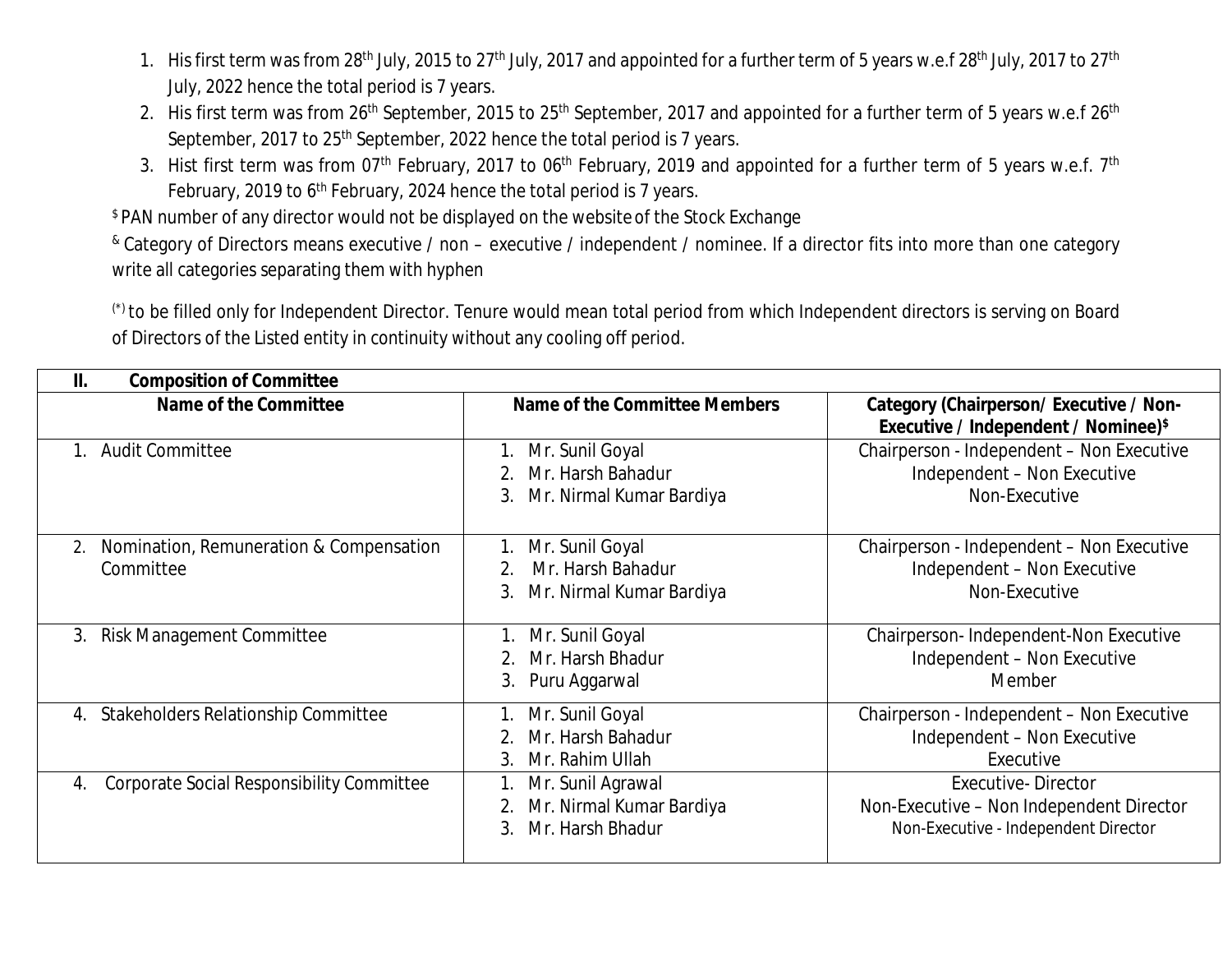- 1. His first term was from 28<sup>th</sup> July, 2015 to 27<sup>th</sup> July, 2017 and appointed for a further term of 5 years w.e.f 28<sup>th</sup> July, 2017 to 27<sup>th</sup> July, 2022 hence the total period is 7 years.
- 2. His first term was from 26<sup>th</sup> September, 2015 to 25<sup>th</sup> September, 2017 and appointed for a further term of 5 years w.e.f 26<sup>th</sup> September, 2017 to 25<sup>th</sup> September, 2022 hence the total period is 7 years.
- 3. Hist first term was from 07<sup>th</sup> February, 2017 to 06<sup>th</sup> February, 2019 and appointed for a further term of 5 years w.e.f. 7<sup>th</sup> February, 2019 to 6<sup>th</sup> February, 2024 hence the total period is 7 years.

\$ PAN number of any director would not be displayed on the websiteof the Stock Exchange

& Category of Directors means executive / non – executive / independent / nominee. If a director fits into more than one category write all categories separating them with hyphen

(\*) to be filled only for Independent Director. Tenure would mean total period from which Independent directors is serving on Board of Directors of the Listed entity in continuity without any cooling off period.

| <b>Composition of Committee</b><br>Ш.                      |                                                                              |                                                                                                               |  |  |  |
|------------------------------------------------------------|------------------------------------------------------------------------------|---------------------------------------------------------------------------------------------------------------|--|--|--|
| Name of the Committee                                      | <b>Name of the Committee Members</b>                                         | <b>Category (Chairperson/Executive / Non-</b><br><b>Executive / Independent / Nominee)</b> \$                 |  |  |  |
| <b>Audit Committee</b><br>1.                               | Mr. Sunil Goyal<br>Mr. Harsh Bahadur<br>Mr. Nirmal Kumar Bardiya<br>3.       | Chairperson - Independent - Non Executive<br>Independent - Non Executive<br>Non-Executive                     |  |  |  |
| Nomination, Remuneration & Compensation<br>2.<br>Committee | Mr. Sunil Goyal<br>Mr. Harsh Bahadur<br>2.<br>Mr. Nirmal Kumar Bardiya<br>3. | Chairperson - Independent - Non Executive<br>Independent - Non Executive<br>Non-Executive                     |  |  |  |
| <b>Risk Management Committee</b><br>3.                     | Mr. Sunil Goyal<br>Mr. Harsh Bhadur<br>Puru Aggarwal<br>3.                   | Chairperson-Independent-Non Executive<br>Independent - Non Executive<br>Member                                |  |  |  |
| <b>Stakeholders Relationship Committee</b><br>4.           | Mr. Sunil Goyal<br>Mr. Harsh Bahadur<br>Mr. Rahim Ullah<br>3.                | Chairperson - Independent - Non Executive<br>Independent - Non Executive<br>Executive                         |  |  |  |
| Corporate Social Responsibility Committee<br>4.            | Mr. Sunil Agrawal<br>Mr. Nirmal Kumar Bardiya<br>Mr. Harsh Bhadur<br>3.      | <b>Executive-Director</b><br>Non-Executive - Non Independent Director<br>Non-Executive - Independent Director |  |  |  |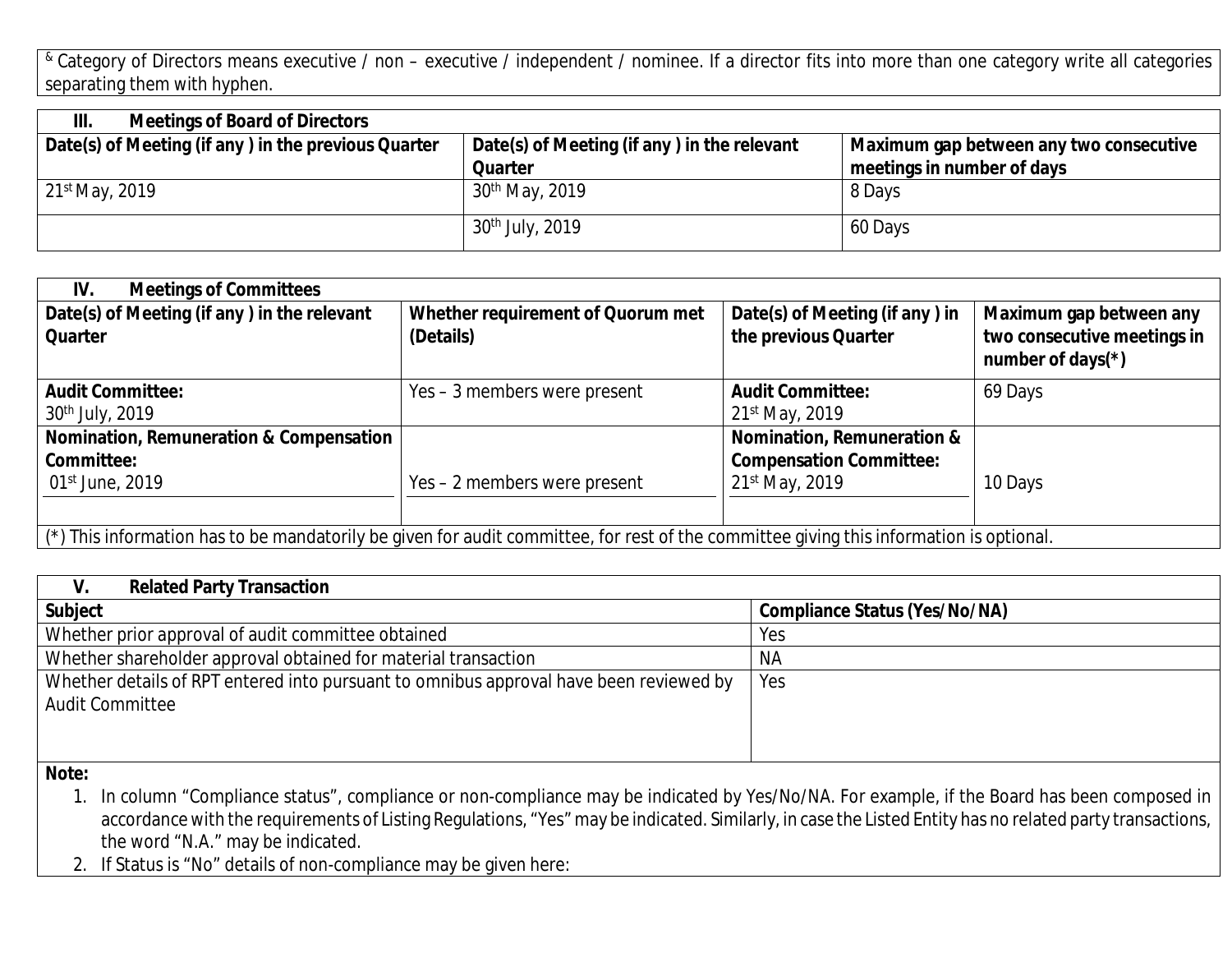& Category of Directors means executive / non - executive / independent / nominee. If a director fits into more than one category write all categories separating them with hyphen.

| III.<br><b>Meetings of Board of Directors</b>       |                                             |                                         |  |
|-----------------------------------------------------|---------------------------------------------|-----------------------------------------|--|
| Date(s) of Meeting (if any) in the previous Quarter | Date(s) of Meeting (if any) in the relevant | Maximum gap between any two consecutive |  |
|                                                     | <b>Quarter</b>                              | meetings in number of days              |  |
| 21st May, 2019                                      | 30 <sup>th</sup> May, 2019                  | 8 Days                                  |  |
|                                                     | $30th$ July, 2019                           | 60 Days                                 |  |

| <b>Meetings of Committees</b><br>IV.                                                                                                           |                                   |                                       |                                                     |  |
|------------------------------------------------------------------------------------------------------------------------------------------------|-----------------------------------|---------------------------------------|-----------------------------------------------------|--|
| Date(s) of Meeting (if any) in the relevant                                                                                                    | Whether requirement of Quorum met | Date(s) of Meeting (if any) in        | Maximum gap between any                             |  |
| <b>Quarter</b>                                                                                                                                 | (Details)                         | the previous Quarter                  | two consecutive meetings in<br>number of days $(*)$ |  |
| <b>Audit Committee:</b>                                                                                                                        | Yes – 3 members were present      | <b>Audit Committee:</b>               | 69 Days                                             |  |
| 30 <sup>th</sup> July, 2019                                                                                                                    |                                   | $21^{st}$ May, 2019                   |                                                     |  |
| Nomination, Remuneration & Compensation                                                                                                        |                                   | <b>Nomination, Remuneration &amp;</b> |                                                     |  |
| Committee:                                                                                                                                     |                                   | <b>Compensation Committee:</b>        |                                                     |  |
| 01 <sup>st</sup> June, 2019                                                                                                                    | Yes – 2 members were present      | 21st May, 2019                        | 10 Days                                             |  |
|                                                                                                                                                |                                   |                                       |                                                     |  |
| $\mid$ (*) This information has to be mandatorily be given for audit committee, for rest of the committee giving this information is optional. |                                   |                                       |                                                     |  |

| <b>Related Party Transaction</b><br>V.                                                 |                                      |
|----------------------------------------------------------------------------------------|--------------------------------------|
| <b>Subject</b>                                                                         | <b>Compliance Status (Yes/No/NA)</b> |
| Whether prior approval of audit committee obtained                                     | Yes                                  |
| Whether shareholder approval obtained for material transaction                         | <b>NA</b>                            |
| Whether details of RPT entered into pursuant to omnibus approval have been reviewed by | Yes                                  |
| <b>Audit Committee</b>                                                                 |                                      |
|                                                                                        |                                      |
|                                                                                        |                                      |
| <b>BL.L.</b>                                                                           |                                      |

**Note:**

1. In column "Compliance status", compliance or non-compliance may be indicated by Yes/No/NA. For example, if the Board has been composed in accordance with the requirements of Listing Regulations, "Yes" may be indicated. Similarly, in case the Listed Entity has no related party transactions, the word "N.A." may be indicated.

2. If Status is "No" details of non-compliance may be given here: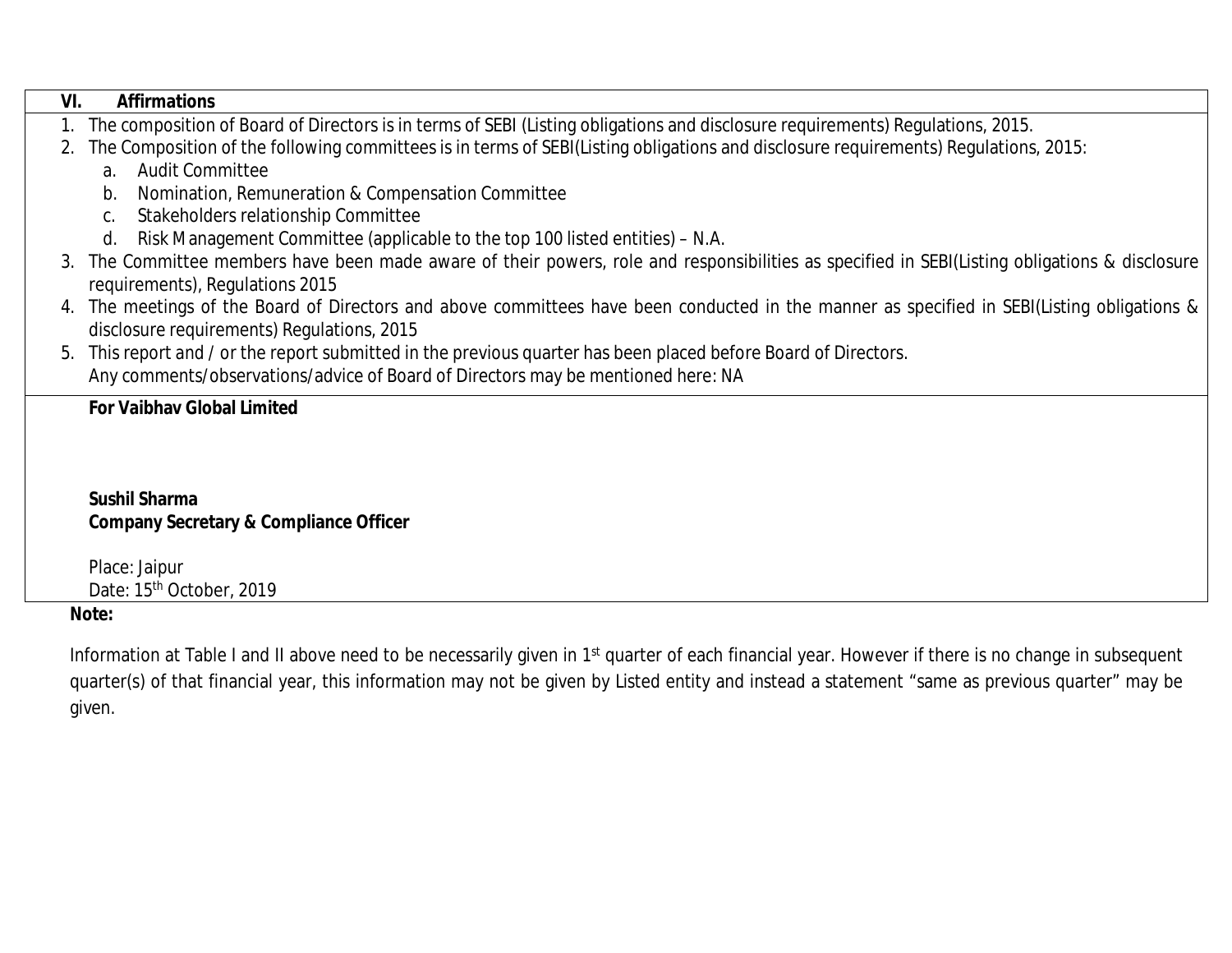| VI.<br><b>Affirmations</b>                                                                                                                     |  |  |  |  |  |  |
|------------------------------------------------------------------------------------------------------------------------------------------------|--|--|--|--|--|--|
| 1. The composition of Board of Directors is in terms of SEBI (Listing obligations and disclosure requirements) Regulations, 2015.              |  |  |  |  |  |  |
| 2. The Composition of the following committees is in terms of SEBI(Listing obligations and disclosure requirements) Regulations, 2015:         |  |  |  |  |  |  |
| <b>Audit Committee</b><br>a <sub>z</sub>                                                                                                       |  |  |  |  |  |  |
| Nomination, Remuneration & Compensation Committee<br>b.                                                                                        |  |  |  |  |  |  |
| Stakeholders relationship Committee                                                                                                            |  |  |  |  |  |  |
| Risk Management Committee (applicable to the top 100 listed entities) – N.A.<br>d.                                                             |  |  |  |  |  |  |
| 3. The Committee members have been made aware of their powers, role and responsibilities as specified in SEBI(Listing obligations & disclosure |  |  |  |  |  |  |
| requirements), Regulations 2015                                                                                                                |  |  |  |  |  |  |
| The meetings of the Board of Directors and above committees have been conducted in the manner as specified in SEBI(Listing obligations &<br>4. |  |  |  |  |  |  |
| disclosure requirements) Regulations, 2015                                                                                                     |  |  |  |  |  |  |
| 5. This report and / or the report submitted in the previous quarter has been placed before Board of Directors.                                |  |  |  |  |  |  |
| Any comments/observations/advice of Board of Directors may be mentioned here: NA                                                               |  |  |  |  |  |  |
| <b>For Vaibhav Global Limited</b>                                                                                                              |  |  |  |  |  |  |
|                                                                                                                                                |  |  |  |  |  |  |
|                                                                                                                                                |  |  |  |  |  |  |

# **Sushil Sharma Company Secretary & Compliance Officer**

Place: Jaipur Date: 15<sup>th</sup> October, 2019

**Note:**

Information at Table I and II above need to be necessarily given in 1<sup>st</sup> quarter of each financial year. However if there is no change in subsequent quarter(s) of that financial year, this information may not be given by Listed entity and instead a statement "same as previous quarter" may be given.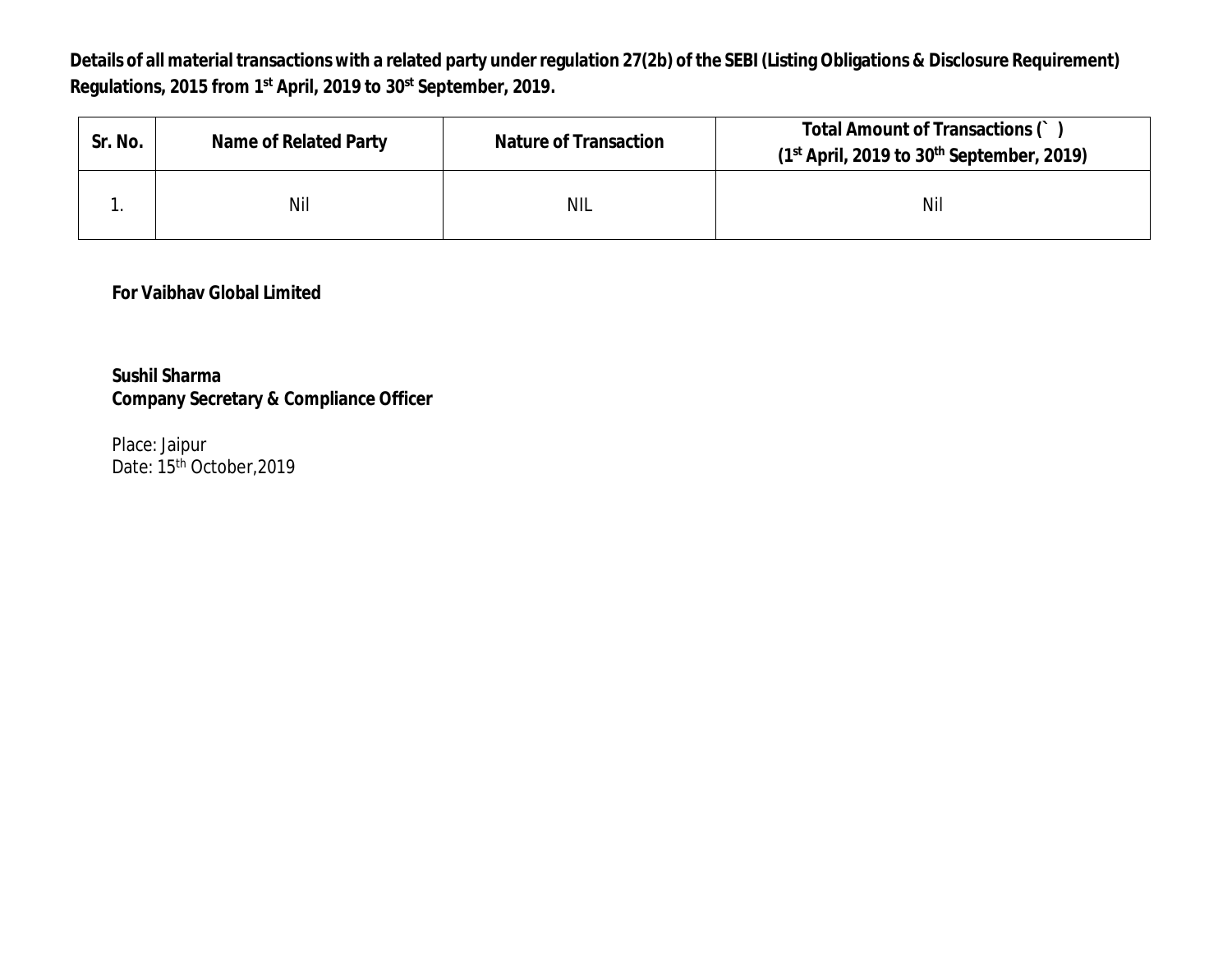**Details of all material transactions with a related party under regulation 27(2b) of the SEBI (Listing Obligations & Disclosure Requirement) Regulations, 2015 from 1st April, 2019 to 30st September, 2019.**

| Sr. No. | <b>Name of Related Party</b> | <b>Nature of Transaction</b> | Total Amount of Transactions ()<br>$(1st$ April, 2019 to 30 <sup>th</sup> September, 2019) |
|---------|------------------------------|------------------------------|--------------------------------------------------------------------------------------------|
|         | Nil                          | <b>NIL</b>                   | Nil                                                                                        |

# **For Vaibhav Global Limited**

**Sushil Sharma Company Secretary & Compliance Officer**

Place: Jaipur Date: 15<sup>th</sup> October, 2019